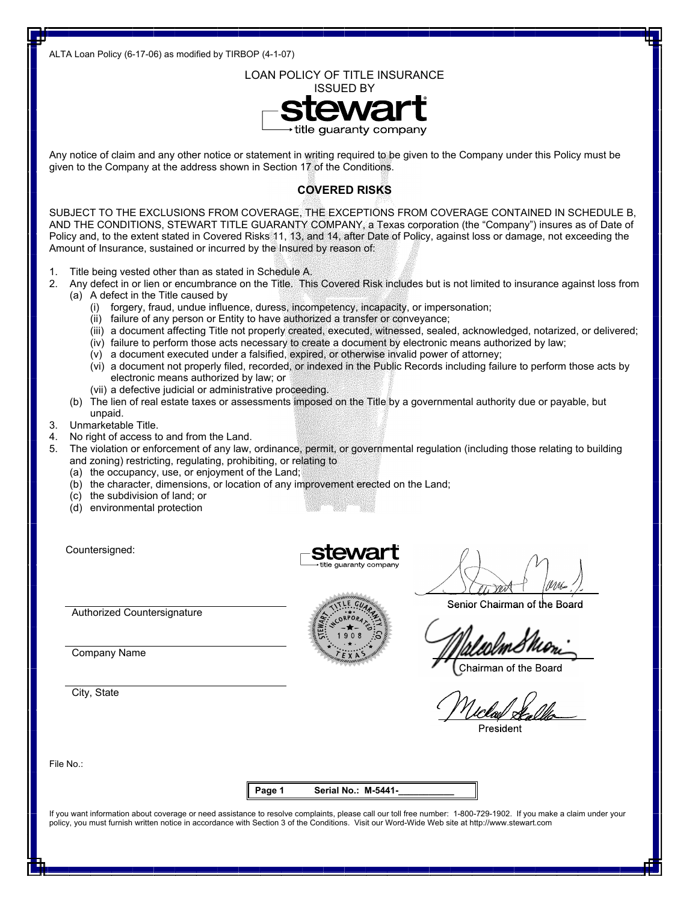ALTA Loan Policy (6-17-06) as modified by TIRBOP (4-1-07)



Any notice of claim and any other notice or statement in writing required to be given to the Company under this Policy must be given to the Company at the address shown in Section 17 of the Conditions.

## **COVERED RISKS**

SUBJECT TO THE EXCLUSIONS FROM COVERAGE, THE EXCEPTIONS FROM COVERAGE CONTAINED IN SCHEDULE B, AND THE CONDITIONS, STEWART TITLE GUARANTY COMPANY, a Texas corporation (the "Company") insures as of Date of Policy and, to the extent stated in Covered Risks 11, 13, and 14, after Date of Policy, against loss or damage, not exceeding the Amount of Insurance, sustained or incurred by the Insured by reason of:

- 1. Title being vested other than as stated in Schedule A.
- 2. Any defect in or lien or encumbrance on the Title. This Covered Risk includes but is not limited to insurance against loss from (a) A defect in the Title caused by
	- (i) forgery, fraud, undue influence, duress, incompetency, incapacity, or impersonation;
	- (ii) failure of any person or Entity to have authorized a transfer or conveyance;
	- (iii) a document affecting Title not properly created, executed, witnessed, sealed, acknowledged, notarized, or delivered;
	- (iv) failure to perform those acts necessary to create a document by electronic means authorized by law;
	- (v) a document executed under a falsified, expired, or otherwise invalid power of attorney;
	- (vi) a document not properly filed, recorded, or indexed in the Public Records including failure to perform those acts by electronic means authorized by law; or
	- (vii) a defective judicial or administrative proceeding.
	- (b) The lien of real estate taxes or assessments imposed on the Title by a governmental authority due or payable, but unpaid.
- 3. Unmarketable Title.
- 4. No right of access to and from the Land.
- 5. The violation or enforcement of any law, ordinance, permit, or governmental regulation (including those relating to building and zoning) restricting, regulating, prohibiting, or relating to
	- (a) the occupancy, use, or enjoyment of the Land;
	- (b) the character, dimensions, or location of any improvement erected on the Land;
	- (c) the subdivision of land; or
	- (d) environmental protection

Countersigned:



Authorized Countersignature

Company Name

City, State

Senior Chairman of the Board

าairman of the Board

President

File No.:

**Page 1 Serial No.: M-5441-\_\_\_\_\_\_\_\_\_\_\_**

If you want information about coverage or need assistance to resolve complaints, please call our toll free number: 1-800-729-1902. If you make a claim under your policy, you must furnish written notice in accordance with Section 3 of the Conditions. Visit our Word-Wide Web site at http://www.stewart.com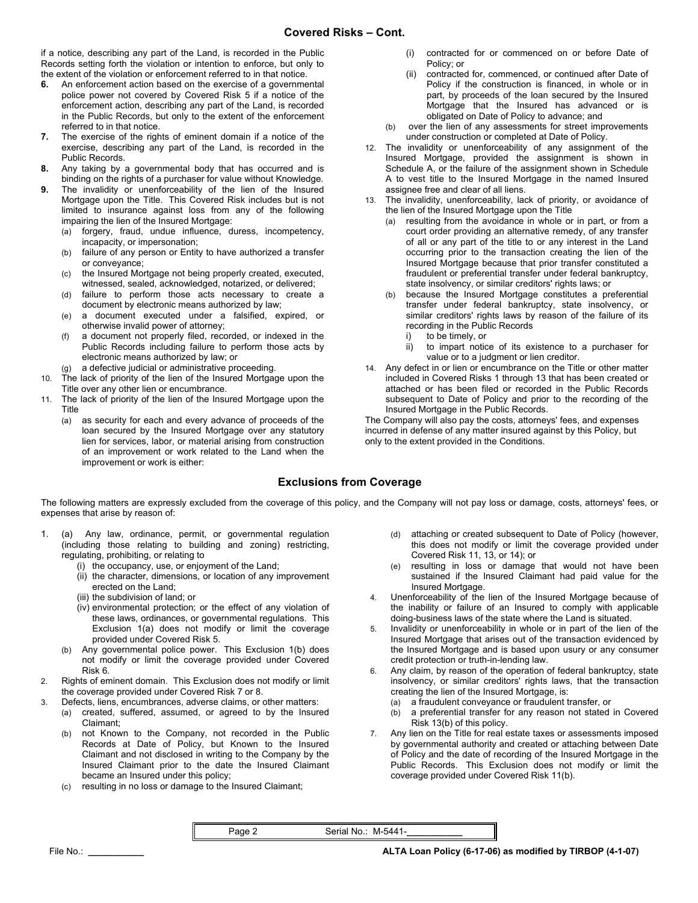if a notice, describing any part of the Land, is recorded in the Public Records setting forth the violation or intention to enforce, but only to the extent of the violation or enforcement referred to in that notice.

- **6.** An enforcement action based on the exercise of a governmental police power not covered by Covered Risk 5 if a notice of the enforcement action, describing any part of the Land, is recorded in the Public Records, but only to the extent of the enforcement referred to in that notice.
- **7.** The exercise of the rights of eminent domain if a notice of the exercise, describing any part of the Land, is recorded in the Public Records.
- **8.** Any taking by a governmental body that has occurred and is binding on the rights of a purchaser for value without Knowledge.
- **9.** The invalidity or unenforceability of the lien of the Insured Mortgage upon the Title. This Covered Risk includes but is not limited to insurance against loss from any of the following impairing the lien of the Insured Mortgage:
	- (a) forgery, fraud, undue influence, duress, incompetency, incapacity, or impersonation;
	- (b) failure of any person or Entity to have authorized a transfer or conveyance;
	- (c) the Insured Mortgage not being properly created, executed, witnessed, sealed, acknowledged, notarized, or delivered;
	- (d) failure to perform those acts necessary to create a document by electronic means authorized by law;
	- (e) a document executed under a falsified, expired, or otherwise invalid power of attorney;
	- (f) a document not properly filed, recorded, or indexed in the Public Records including failure to perform those acts by electronic means authorized by law; or
	- (g) a defective judicial or administrative proceeding.
- 10. The lack of priority of the lien of the Insured Mortgage upon the Title over any other lien or encumbrance.
- 11. The lack of priority of the lien of the Insured Mortgage upon the Title
	- (a) as security for each and every advance of proceeds of the loan secured by the Insured Mortgage over any statutory lien for services, labor, or material arising from construction of an improvement or work related to the Land when the improvement or work is either:
- (i) contracted for or commenced on or before Date of Policy; or
- (ii) contracted for, commenced, or continued after Date of Policy if the construction is financed, in whole or in part, by proceeds of the loan secured by the Insured Mortgage that the Insured has advanced or is obligated on Date of Policy to advance; and
- (b) over the lien of any assessments for street improvements under construction or completed at Date of Policy.
- 12. The invalidity or unenforceability of any assignment of the Insured Mortgage, provided the assignment is shown in Schedule A, or the failure of the assignment shown in Schedule A to vest title to the Insured Mortgage in the named Insured assignee free and clear of all liens.
- 13. The invalidity, unenforceability, lack of priority, or avoidance of the lien of the Insured Mortgage upon the Title
	- (a) resulting from the avoidance in whole or in part, or from a court order providing an alternative remedy, of any transfer of all or any part of the title to or any interest in the Land occurring prior to the transaction creating the lien of the Insured Mortgage because that prior transfer constituted a fraudulent or preferential transfer under federal bankruptcy, state insolvency, or similar creditors' rights laws; or
	- (b) because the Insured Mortgage constitutes a preferential transfer under federal bankruptcy, state insolvency, or similar creditors' rights laws by reason of the failure of its recording in the Public Records
		- to be timely, or
		- ii) to impart notice of its existence to a purchaser for value or to a judgment or lien creditor.
- 14. Any defect in or lien or encumbrance on the Title or other matter included in Covered Risks 1 through 13 that has been created or attached or has been filed or recorded in the Public Records subsequent to Date of Policy and prior to the recording of the Insured Mortgage in the Public Records.

The Company will also pay the costs, attorneys' fees, and expenses incurred in defense of any matter insured against by this Policy, but only to the extent provided in the Conditions.

## **Exclusions from Coverage**

The following matters are expressly excluded from the coverage of this policy, and the Company will not pay loss or damage, costs, attorneys' fees, or expenses that arise by reason of:

- 1. (a) Any law, ordinance, permit, or governmental regulation (including those relating to building and zoning) restricting, regulating, prohibiting, or relating to
	- (i) the occupancy, use, or enjoyment of the Land;
	- (ii) the character, dimensions, or location of any improvement erected on the Land;
	- (iii) the subdivision of land; or
	- (iv) environmental protection; or the effect of any violation of these laws, ordinances, or governmental regulations. This Exclusion 1(a) does not modify or limit the coverage provided under Covered Risk 5.
	- (b) Any governmental police power. This Exclusion 1(b) does not modify or limit the coverage provided under Covered Risk 6.
- 2. Rights of eminent domain. This Exclusion does not modify or limit the coverage provided under Covered Risk 7 or 8.
- 3. Defects, liens, encumbrances, adverse claims, or other matters:
	- (a) created, suffered, assumed, or agreed to by the Insured Claimant;
	- (b) not Known to the Company, not recorded in the Public Records at Date of Policy, but Known to the Insured Claimant and not disclosed in writing to the Company by the Insured Claimant prior to the date the Insured Claimant became an Insured under this policy;
	- (c) resulting in no loss or damage to the Insured Claimant;
- (d) attaching or created subsequent to Date of Policy (however, this does not modify or limit the coverage provided under Covered Risk 11, 13, or 14); or
- (e) resulting in loss or damage that would not have been sustained if the Insured Claimant had paid value for the Insured Mortgage.
- 4. Unenforceability of the lien of the Insured Mortgage because of the inability or failure of an Insured to comply with applicable doing-business laws of the state where the Land is situated.
- Invalidity or unenforceability in whole or in part of the lien of the Insured Mortgage that arises out of the transaction evidenced by the Insured Mortgage and is based upon usury or any consumer credit protection or truth-in-lending law.
	- Any claim, by reason of the operation of federal bankruptcy, state insolvency, or similar creditors' rights laws, that the transaction creating the lien of the Insured Mortgage, is:
		- (a) a fraudulent conveyance or fraudulent transfer, or
		- (b) a preferential transfer for any reason not stated in Covered Risk 13(b) of this policy.
- 7. Any lien on the Title for real estate taxes or assessments imposed by governmental authority and created or attaching between Date of Policy and the date of recording of the Insured Mortgage in the Public Records. This Exclusion does not modify or limit the coverage provided under Covered Risk 11(b).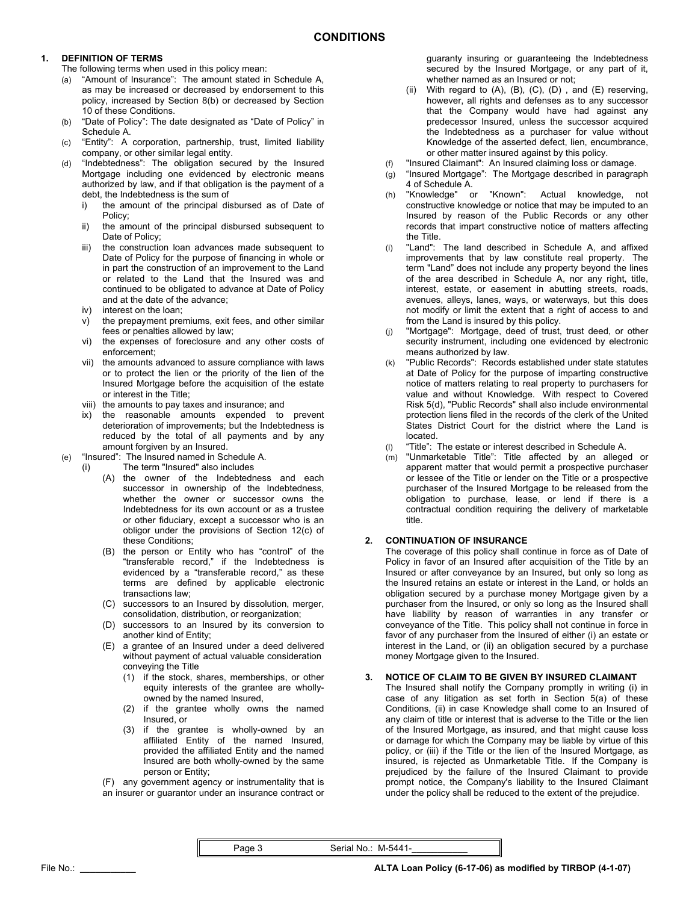## **1. DEFINITION OF TERMS**

- The following terms when used in this policy mean:
- (a) "Amount of Insurance": The amount stated in Schedule A, as may be increased or decreased by endorsement to this policy, increased by Section 8(b) or decreased by Section 10 of these Conditions.
- (b) "Date of Policy": The date designated as "Date of Policy" in Schedule A.
- (c) "Entity": A corporation, partnership, trust, limited liability company, or other similar legal entity.
- (d) "Indebtedness": The obligation secured by the Insured Mortgage including one evidenced by electronic means authorized by law, and if that obligation is the payment of a debt, the Indebtedness is the sum of
	- i) the amount of the principal disbursed as of Date of Policy;
	- ii) the amount of the principal disbursed subsequent to Date of Policy;
	- iii) the construction loan advances made subsequent to Date of Policy for the purpose of financing in whole or in part the construction of an improvement to the Land or related to the Land that the Insured was and continued to be obligated to advance at Date of Policy and at the date of the advance;
	- iv) interest on the loan;
	- v) the prepayment premiums, exit fees, and other similar fees or penalties allowed by law;
	- vi) the expenses of foreclosure and any other costs of enforcement;
	- vii) the amounts advanced to assure compliance with laws or to protect the lien or the priority of the lien of the Insured Mortgage before the acquisition of the estate or interest in the Title;
	- viii) the amounts to pay taxes and insurance; and
	- ix) the reasonable amounts expended to prevent deterioration of improvements; but the Indebtedness is reduced by the total of all payments and by any amount forgiven by an Insured.
- (e) "Insured": The Insured named in Schedule A.
	- (i) The term "Insured" also includes
		- (A) the owner of the Indebtedness and each successor in ownership of the Indebtedness, whether the owner or successor owns the Indebtedness for its own account or as a trustee or other fiduciary, except a successor who is an obligor under the provisions of Section 12(c) of these Conditions;
		- (B) the person or Entity who has "control" of the "transferable record," if the Indebtedness is evidenced by a "transferable record," as these terms are defined by applicable electronic transactions law;
		- (C) successors to an Insured by dissolution, merger, consolidation, distribution, or reorganization;
		- (D) successors to an Insured by its conversion to another kind of Entity;
		- (E) a grantee of an Insured under a deed delivered without payment of actual valuable consideration conveying the Title
			- (1) if the stock, shares, memberships, or other equity interests of the grantee are whollyowned by the named Insured,
			- (2) if the grantee wholly owns the named Insured, or
			- (3) if the grantee is wholly-owned by an affiliated Entity of the named Insured, provided the affiliated Entity and the named Insured are both wholly-owned by the same person or Entity;
		- (F) any government agency or instrumentality that is an insurer or guarantor under an insurance contract or

guaranty insuring or guaranteeing the Indebtedness secured by the Insured Mortgage, or any part of it, whether named as an Insured or not;

- With regard to  $(A)$ ,  $(B)$ ,  $(C)$ ,  $(D)$ , and  $(E)$  reserving, however, all rights and defenses as to any successor that the Company would have had against any predecessor Insured, unless the successor acquired the Indebtedness as a purchaser for value without Knowledge of the asserted defect, lien, encumbrance, or other matter insured against by this policy.
- (f) "Insured Claimant": An Insured claiming loss or damage.
- (g) "Insured Mortgage": The Mortgage described in paragraph 4 of Schedule A.<br>"Knowledge" or
- (h) "Knowledge" or "Known": Actual knowledge, not constructive knowledge or notice that may be imputed to an Insured by reason of the Public Records or any other records that impart constructive notice of matters affecting the Title.
- (i) "Land": The land described in Schedule A, and affixed improvements that by law constitute real property. The term "Land" does not include any property beyond the lines of the area described in Schedule A, nor any right, title, interest, estate, or easement in abutting streets, roads, avenues, alleys, lanes, ways, or waterways, but this does not modify or limit the extent that a right of access to and from the Land is insured by this policy.
- (j) "Mortgage": Mortgage, deed of trust, trust deed, or other security instrument, including one evidenced by electronic means authorized by law.
- (k) "Public Records": Records established under state statutes at Date of Policy for the purpose of imparting constructive notice of matters relating to real property to purchasers for value and without Knowledge. With respect to Covered Risk 5(d), "Public Records" shall also include environmental protection liens filed in the records of the clerk of the United States District Court for the district where the Land is located.
- (l) "Title": The estate or interest described in Schedule A.
- (m) "Unmarketable Title": Title affected by an alleged or apparent matter that would permit a prospective purchaser or lessee of the Title or lender on the Title or a prospective purchaser of the Insured Mortgage to be released from the obligation to purchase, lease, or lend if there is a contractual condition requiring the delivery of marketable title.

## **2. CONTINUATION OF INSURANCE**

The coverage of this policy shall continue in force as of Date of Policy in favor of an Insured after acquisition of the Title by an Insured or after conveyance by an Insured, but only so long as the Insured retains an estate or interest in the Land, or holds an obligation secured by a purchase money Mortgage given by a purchaser from the Insured, or only so long as the Insured shall have liability by reason of warranties in any transfer or conveyance of the Title. This policy shall not continue in force in favor of any purchaser from the Insured of either (i) an estate or interest in the Land, or (ii) an obligation secured by a purchase money Mortgage given to the Insured.

## **3. NOTICE OF CLAIM TO BE GIVEN BY INSURED CLAIMANT**

The Insured shall notify the Company promptly in writing (i) in case of any litigation as set forth in Section 5(a) of these Conditions, (ii) in case Knowledge shall come to an Insured of any claim of title or interest that is adverse to the Title or the lien of the Insured Mortgage, as insured, and that might cause loss or damage for which the Company may be liable by virtue of this policy, or (iii) if the Title or the lien of the Insured Mortgage, as insured, is rejected as Unmarketable Title. If the Company is prejudiced by the failure of the Insured Claimant to provide prompt notice, the Company's liability to the Insured Claimant under the policy shall be reduced to the extent of the prejudice.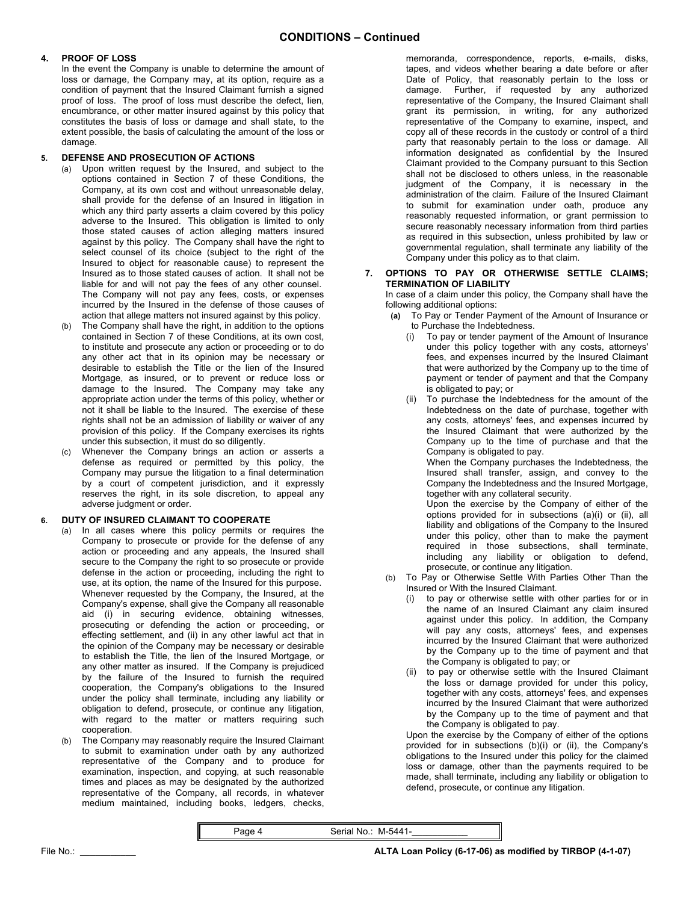## **4. PROOF OF LOSS**

In the event the Company is unable to determine the amount of loss or damage, the Company may, at its option, require as a condition of payment that the Insured Claimant furnish a signed proof of loss. The proof of loss must describe the defect, lien, encumbrance, or other matter insured against by this policy that constitutes the basis of loss or damage and shall state, to the extent possible, the basis of calculating the amount of the loss or damage

## **5. DEFENSE AND PROSECUTION OF ACTIONS**

- (a) Upon written request by the Insured, and subject to the options contained in Section 7 of these Conditions, the Company, at its own cost and without unreasonable delay, shall provide for the defense of an Insured in litigation in which any third party asserts a claim covered by this policy adverse to the Insured. This obligation is limited to only those stated causes of action alleging matters insured against by this policy. The Company shall have the right to select counsel of its choice (subject to the right of the Insured to object for reasonable cause) to represent the Insured as to those stated causes of action. It shall not be liable for and will not pay the fees of any other counsel. The Company will not pay any fees, costs, or expenses incurred by the Insured in the defense of those causes of action that allege matters not insured against by this policy.
- (b) The Company shall have the right, in addition to the options contained in Section 7 of these Conditions, at its own cost, to institute and prosecute any action or proceeding or to do any other act that in its opinion may be necessary or desirable to establish the Title or the lien of the Insured Mortgage, as insured, or to prevent or reduce loss or damage to the Insured. The Company may take any appropriate action under the terms of this policy, whether or not it shall be liable to the Insured. The exercise of these rights shall not be an admission of liability or waiver of any provision of this policy. If the Company exercises its rights under this subsection, it must do so diligently.
- Whenever the Company brings an action or asserts a defense as required or permitted by this policy, the Company may pursue the litigation to a final determination by a court of competent jurisdiction, and it expressly reserves the right, in its sole discretion, to appeal any adverse judgment or order.

## **6. DUTY OF INSURED CLAIMANT TO COOPERATE**

- (a) In all cases where this policy permits or requires the Company to prosecute or provide for the defense of any action or proceeding and any appeals, the Insured shall secure to the Company the right to so prosecute or provide defense in the action or proceeding, including the right to use, at its option, the name of the Insured for this purpose. Whenever requested by the Company, the Insured, at the Company's expense, shall give the Company all reasonable aid (i) in securing evidence, obtaining witnesses, prosecuting or defending the action or proceeding, or effecting settlement, and (ii) in any other lawful act that in the opinion of the Company may be necessary or desirable to establish the Title, the lien of the Insured Mortgage, or any other matter as insured. If the Company is prejudiced by the failure of the Insured to furnish the required cooperation, the Company's obligations to the Insured under the policy shall terminate, including any liability or obligation to defend, prosecute, or continue any litigation, with regard to the matter or matters requiring such cooperation.
- The Company may reasonably require the Insured Claimant to submit to examination under oath by any authorized representative of the Company and to produce for examination, inspection, and copying, at such reasonable times and places as may be designated by the authorized representative of the Company, all records, in whatever medium maintained, including books, ledgers, checks,

memoranda, correspondence, reports, e-mails, disks, tapes, and videos whether bearing a date before or after Date of Policy, that reasonably pertain to the loss or damage. Further, if requested by any authorized representative of the Company, the Insured Claimant shall grant its permission, in writing, for any authorized representative of the Company to examine, inspect, and copy all of these records in the custody or control of a third party that reasonably pertain to the loss or damage. All information designated as confidential by the Insured Claimant provided to the Company pursuant to this Section shall not be disclosed to others unless, in the reasonable judgment of the Company, it is necessary in the administration of the claim. Failure of the Insured Claimant to submit for examination under oath, produce any reasonably requested information, or grant permission to secure reasonably necessary information from third parties as required in this subsection, unless prohibited by law or governmental regulation, shall terminate any liability of the Company under this policy as to that claim.

#### **7. OPTIONS TO PAY OR OTHERWISE SETTLE CLAIMS; TERMINATION OF LIABILITY**

In case of a claim under this policy, the Company shall have the following additional options:

- **(a)** To Pay or Tender Payment of the Amount of Insurance or to Purchase the Indebtedness.
	- To pay or tender payment of the Amount of Insurance under this policy together with any costs, attorneys' fees, and expenses incurred by the Insured Claimant that were authorized by the Company up to the time of payment or tender of payment and that the Company is obligated to pay; or
	- (ii) To purchase the Indebtedness for the amount of the Indebtedness on the date of purchase, together with any costs, attorneys' fees, and expenses incurred by the Insured Claimant that were authorized by the Company up to the time of purchase and that the Company is obligated to pay.

When the Company purchases the Indebtedness, the Insured shall transfer, assign, and convey to the Company the Indebtedness and the Insured Mortgage, together with any collateral security.

Upon the exercise by the Company of either of the options provided for in subsections (a)(i) or (ii), all liability and obligations of the Company to the Insured under this policy, other than to make the payment required in those subsections, shall terminate, including any liability or obligation to defend, prosecute, or continue any litigation.

- (b) To Pay or Otherwise Settle With Parties Other Than the Insured or With the Insured Claimant.
	- (i) to pay or otherwise settle with other parties for or in the name of an Insured Claimant any claim insured against under this policy. In addition, the Company will pay any costs, attorneys' fees, and expenses incurred by the Insured Claimant that were authorized by the Company up to the time of payment and that the Company is obligated to pay; or
	- (ii) to pay or otherwise settle with the Insured Claimant the loss or damage provided for under this policy, together with any costs, attorneys' fees, and expenses incurred by the Insured Claimant that were authorized by the Company up to the time of payment and that the Company is obligated to pay.

Upon the exercise by the Company of either of the options provided for in subsections (b)(i) or (ii), the Company's obligations to the Insured under this policy for the claimed loss or damage, other than the payments required to be made, shall terminate, including any liability or obligation to defend, prosecute, or continue any litigation.

Page 4 Serial No.: M-5441-**\_\_\_\_\_\_\_\_\_\_\_**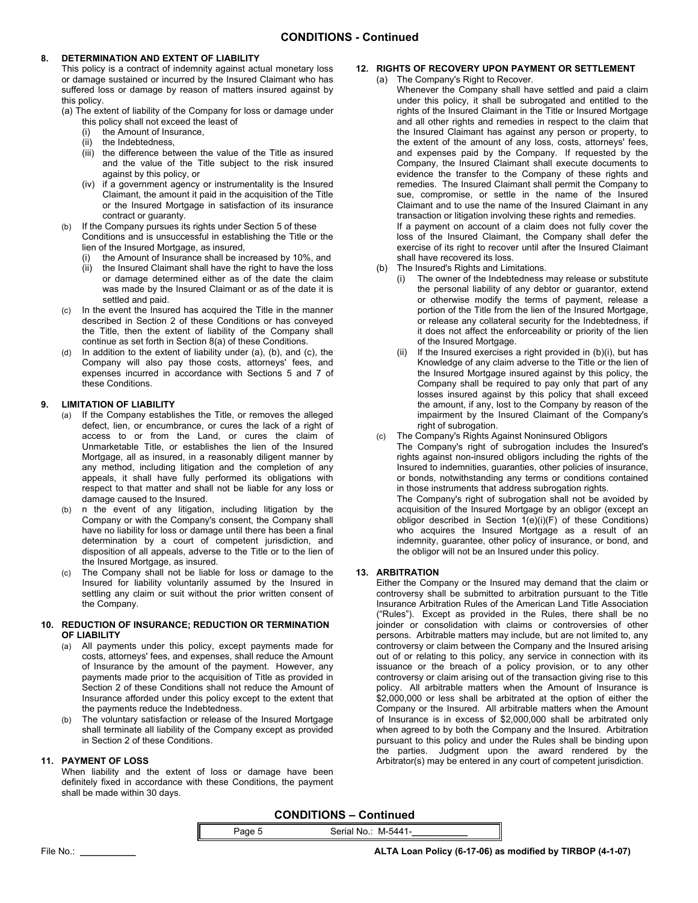#### **8. DETERMINATION AND EXTENT OF LIABILITY**

This policy is a contract of indemnity against actual monetary loss or damage sustained or incurred by the Insured Claimant who has suffered loss or damage by reason of matters insured against by this policy.

- (a) The extent of liability of the Company for loss or damage under this policy shall not exceed the least of
	- the Amount of Insurance,
	- (ii) the Indebtedness,
	- (iii) the difference between the value of the Title as insured and the value of the Title subject to the risk insured against by this policy, or
	- (iv) if a government agency or instrumentality is the Insured Claimant, the amount it paid in the acquisition of the Title or the Insured Mortgage in satisfaction of its insurance contract or guaranty.
- (b) If the Company pursues its rights under Section 5 of these Conditions and is unsuccessful in establishing the Title or the lien of the Insured Mortgage, as insured.
	- the Amount of Insurance shall be increased by 10%, and
	- (ii) the Insured Claimant shall have the right to have the loss or damage determined either as of the date the claim was made by the Insured Claimant or as of the date it is settled and paid.
- (c) In the event the Insured has acquired the Title in the manner described in Section 2 of these Conditions or has conveyed the Title, then the extent of liability of the Company shall continue as set forth in Section 8(a) of these Conditions.
- (d) In addition to the extent of liability under (a), (b), and (c), the Company will also pay those costs, attorneys' fees, and expenses incurred in accordance with Sections 5 and 7 of these Conditions.

## **9. LIMITATION OF LIABILITY**

- (a) If the Company establishes the Title, or removes the alleged defect, lien, or encumbrance, or cures the lack of a right of access to or from the Land, or cures the claim of Unmarketable Title, or establishes the lien of the Insured Mortgage, all as insured, in a reasonably diligent manner by any method, including litigation and the completion of any appeals, it shall have fully performed its obligations with respect to that matter and shall not be liable for any loss or damage caused to the Insured.
- (b) n the event of any litigation, including litigation by the Company or with the Company's consent, the Company shall have no liability for loss or damage until there has been a final determination by a court of competent jurisdiction, and disposition of all appeals, adverse to the Title or to the lien of the Insured Mortgage, as insured.
- (c) The Company shall not be liable for loss or damage to the Insured for liability voluntarily assumed by the Insured in settling any claim or suit without the prior written consent of the Company.

#### **10. REDUCTION OF INSURANCE; REDUCTION OR TERMINATION OF LIABILITY**

- (a) All payments under this policy, except payments made for costs, attorneys' fees, and expenses, shall reduce the Amount of Insurance by the amount of the payment. However, any payments made prior to the acquisition of Title as provided in Section 2 of these Conditions shall not reduce the Amount of Insurance afforded under this policy except to the extent that the payments reduce the Indebtedness.
- (b) The voluntary satisfaction or release of the Insured Mortgage shall terminate all liability of the Company except as provided in Section 2 of these Conditions.

## **11. PAYMENT OF LOSS**

When liability and the extent of loss or damage have been definitely fixed in accordance with these Conditions, the payment shall be made within 30 days.

#### **12. RIGHTS OF RECOVERY UPON PAYMENT OR SETTLEMENT**

- (a) The Company's Right to Recover.
- Whenever the Company shall have settled and paid a claim under this policy, it shall be subrogated and entitled to the rights of the Insured Claimant in the Title or Insured Mortgage and all other rights and remedies in respect to the claim that the Insured Claimant has against any person or property, to the extent of the amount of any loss, costs, attorneys' fees, and expenses paid by the Company. If requested by the Company, the Insured Claimant shall execute documents to evidence the transfer to the Company of these rights and remedies. The Insured Claimant shall permit the Company to sue, compromise, or settle in the name of the Insured Claimant and to use the name of the Insured Claimant in any transaction or litigation involving these rights and remedies. If a payment on account of a claim does not fully cover the loss of the Insured Claimant, the Company shall defer the exercise of its right to recover until after the Insured Claimant shall have recovered its loss.
- (b) The Insured's Rights and Limitations.
	- (i) The owner of the Indebtedness may release or substitute the personal liability of any debtor or guarantor, extend or otherwise modify the terms of payment, release a portion of the Title from the lien of the Insured Mortgage, or release any collateral security for the Indebtedness, if it does not affect the enforceability or priority of the lien of the Insured Mortgage.
	- (ii) If the Insured exercises a right provided in (b)(i), but has Knowledge of any claim adverse to the Title or the lien of the Insured Mortgage insured against by this policy, the Company shall be required to pay only that part of any losses insured against by this policy that shall exceed the amount, if any, lost to the Company by reason of the impairment by the Insured Claimant of the Company's right of subrogation.
- (c) The Company's Rights Against Noninsured Obligors

The Company's right of subrogation includes the Insured's rights against non-insured obligors including the rights of the Insured to indemnities, guaranties, other policies of insurance, or bonds, notwithstanding any terms or conditions contained in those instruments that address subrogation rights. The Company's right of subrogation shall not be avoided by acquisition of the Insured Mortgage by an obligor (except an obligor described in Section 1(e)(i)(F) of these Conditions) who acquires the Insured Mortgage as a result of an indemnity, guarantee, other policy of insurance, or bond, and the obligor will not be an Insured under this policy.

## **13. ARBITRATION**

Either the Company or the Insured may demand that the claim or controversy shall be submitted to arbitration pursuant to the Title Insurance Arbitration Rules of the American Land Title Association ("Rules"). Except as provided in the Rules, there shall be no joinder or consolidation with claims or controversies of other persons. Arbitrable matters may include, but are not limited to, any controversy or claim between the Company and the Insured arising out of or relating to this policy, any service in connection with its issuance or the breach of a policy provision, or to any other controversy or claim arising out of the transaction giving rise to this policy. All arbitrable matters when the Amount of Insurance is \$2,000,000 or less shall be arbitrated at the option of either the Company or the Insured. All arbitrable matters when the Amount of Insurance is in excess of \$2,000,000 shall be arbitrated only when agreed to by both the Company and the Insured. Arbitration pursuant to this policy and under the Rules shall be binding upon the parties. Judgment upon the award rendered by the Arbitrator(s) may be entered in any court of competent jurisdiction.

## **CONDITIONS – Continued**

Page 5 **Serial No.: M-5441-**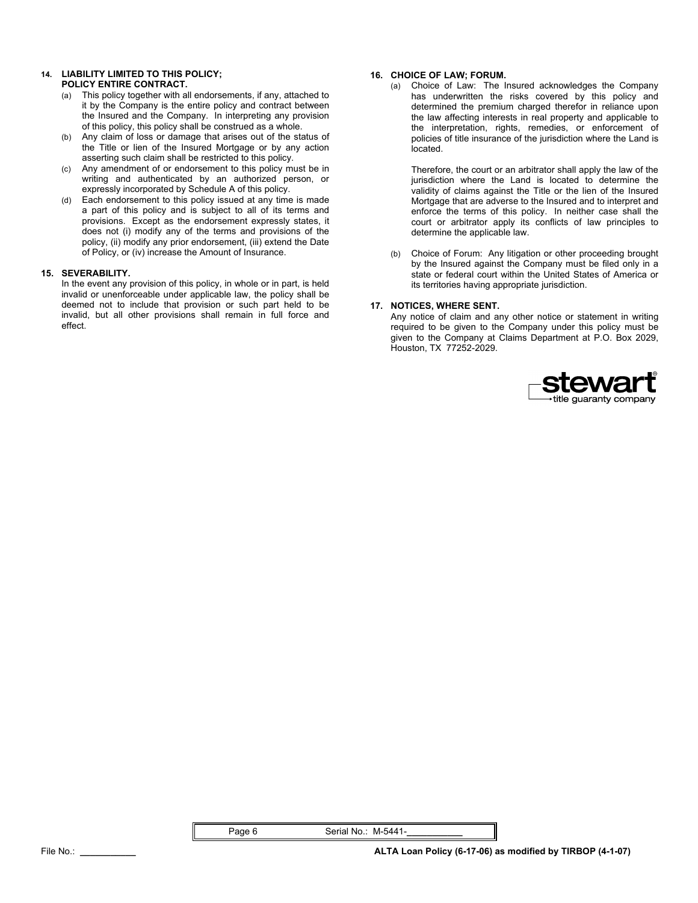#### **14. LIABILITY LIMITED TO THIS POLICY; POLICY ENTIRE CONTRACT.**

- (a) This policy together with all endorsements, if any, attached to it by the Company is the entire policy and contract between the Insured and the Company. In interpreting any provision of this policy, this policy shall be construed as a whole.
- (b) Any claim of loss or damage that arises out of the status of the Title or lien of the Insured Mortgage or by any action asserting such claim shall be restricted to this policy.
- (c) Any amendment of or endorsement to this policy must be in writing and authenticated by an authorized person, or expressly incorporated by Schedule A of this policy.
- (d) Each endorsement to this policy issued at any time is made a part of this policy and is subject to all of its terms and provisions. Except as the endorsement expressly states, it does not (i) modify any of the terms and provisions of the policy, (ii) modify any prior endorsement, (iii) extend the Date of Policy, or (iv) increase the Amount of Insurance.

#### **15. SEVERABILITY.**

In the event any provision of this policy, in whole or in part, is held invalid or unenforceable under applicable law, the policy shall be deemed not to include that provision or such part held to be invalid, but all other provisions shall remain in full force and effect.

#### **16. CHOICE OF LAW; FORUM.**

(a) Choice of Law: The Insured acknowledges the Company has underwritten the risks covered by this policy and determined the premium charged therefor in reliance upon the law affecting interests in real property and applicable to the interpretation, rights, remedies, or enforcement of policies of title insurance of the jurisdiction where the Land is located.

Therefore, the court or an arbitrator shall apply the law of the jurisdiction where the Land is located to determine the validity of claims against the Title or the lien of the Insured Mortgage that are adverse to the Insured and to interpret and enforce the terms of this policy. In neither case shall the court or arbitrator apply its conflicts of law principles to determine the applicable law.

(b) Choice of Forum: Any litigation or other proceeding brought by the Insured against the Company must be filed only in a state or federal court within the United States of America or its territories having appropriate jurisdiction.

#### **17. NOTICES, WHERE SENT.**

Any notice of claim and any other notice or statement in writing required to be given to the Company under this policy must be given to the Company at Claims Department at P.O. Box 2029, Houston, TX 77252-2029.



Page 6 Serial No.: M-5441-**\_\_\_\_\_\_\_\_\_\_\_**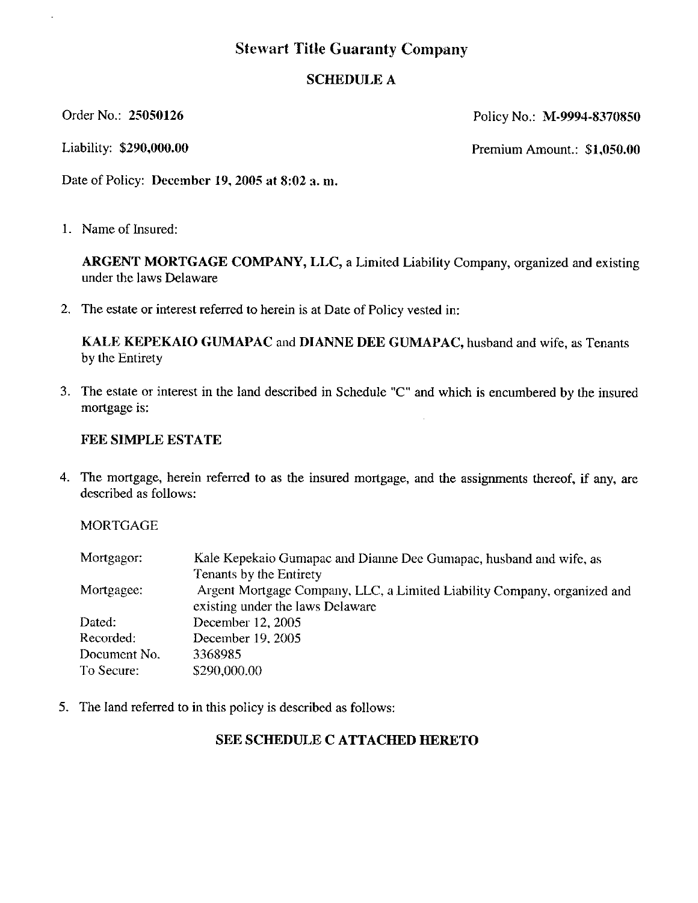# **Stewart Title Guaranty Company**

## **SCHEDULE A**

Order No.: 25050126

Liability: \$290,000.00

Policy No.: M-9994-8370850

Premium Amount.: \$1,050.00

Date of Policy: December 19, 2005 at 8:02 a.m.

1. Name of Insured:

ARGENT MORTGAGE COMPANY, LLC, a Limited Liability Company, organized and existing under the laws Delaware

2. The estate or interest referred to herein is at Date of Policy vested in:

KALE KEPEKAIO GUMAPAC and DIANNE DEE GUMAPAC, husband and wife, as Tenants by the Entirety

3. The estate or interest in the land described in Schedule "C" and which is encumbered by the insured mortgage is:

## FEE SIMPLE ESTATE

4. The mortgage, herein referred to as the insured mortgage, and the assignments thereof, if any, are described as follows:

**MORTGAGE** 

| Mortgagor:   | Kale Kepekaio Gumapac and Dianne Dee Gumapac, husband and wife, as       |
|--------------|--------------------------------------------------------------------------|
|              | Tenants by the Entirety                                                  |
| Mortgagee:   | Argent Mortgage Company, LLC, a Limited Liability Company, organized and |
|              | existing under the laws Delaware                                         |
| Dated:       | December 12, 2005                                                        |
| Recorded.    | December 19, 2005                                                        |
| Document No. | 3368985                                                                  |
| To Secure:   | \$290,000.00                                                             |

5. The land referred to in this policy is described as follows:

## **SEE SCHEDULE C ATTACHED HERETO**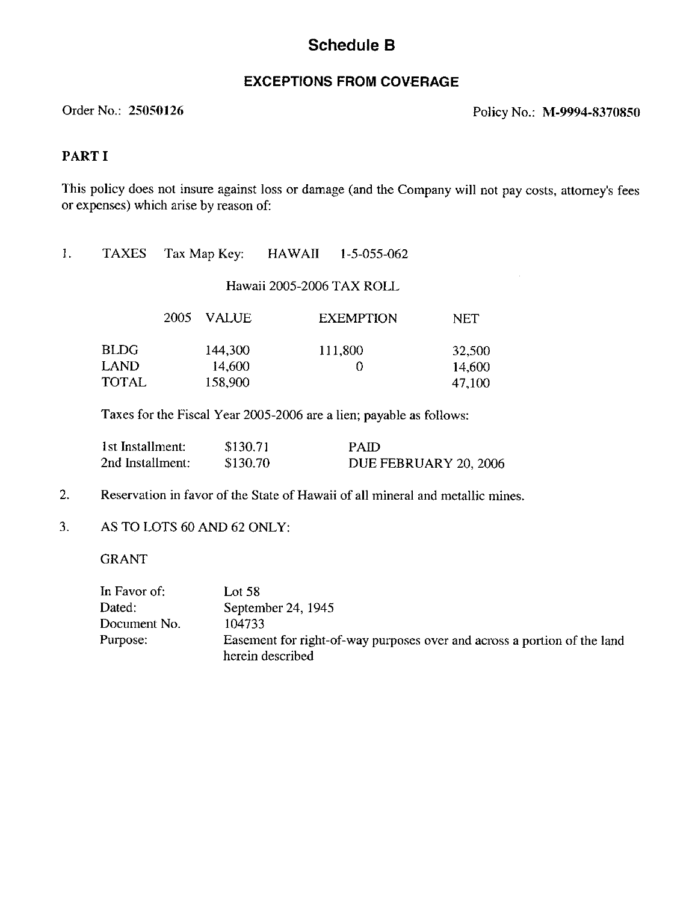## **EXCEPTIONS FROM COVERAGE**

Order No.: 25050126

Policy No.: M-9994-8370850

## PART I

This policy does not insure against loss or damage (and the Company will not pay costs, attorney's fees or expenses) which arise by reason of:

Tax Map Key:  $1<sup>1</sup>$ **TAXES** HAWAII 1-5-055-062

## Hawaii 2005-2006 TAX ROLL

|              | 2005 VALUE | <b>EXEMPTION</b> | <b>NET</b> |
|--------------|------------|------------------|------------|
| <b>BLDG</b>  | 144,300    | 111,800          | 32,500     |
| <b>LAND</b>  | 14,600     |                  | 14,600     |
| <b>TOTAL</b> | 158,900    |                  | 47.100     |

Taxes for the Fiscal Year 2005-2006 are a lien; payable as follows:

| 1st Installment: | \$130.71 | <b>PAID</b>           |
|------------------|----------|-----------------------|
| 2nd Installment: | \$130.70 | DUE FEBRUARY 20, 2006 |

 $2.$ Reservation in favor of the State of Hawaii of all mineral and metallic mines.

 $3.$ AS TO LOTS 60 AND 62 ONLY:

**GRANT** 

| In Favor of: | Lot $58$                                                                                     |
|--------------|----------------------------------------------------------------------------------------------|
| Dated:       | September 24, 1945                                                                           |
| Document No. | 104733                                                                                       |
| Purpose:     | Easement for right-of-way purposes over and across a portion of the land<br>herein described |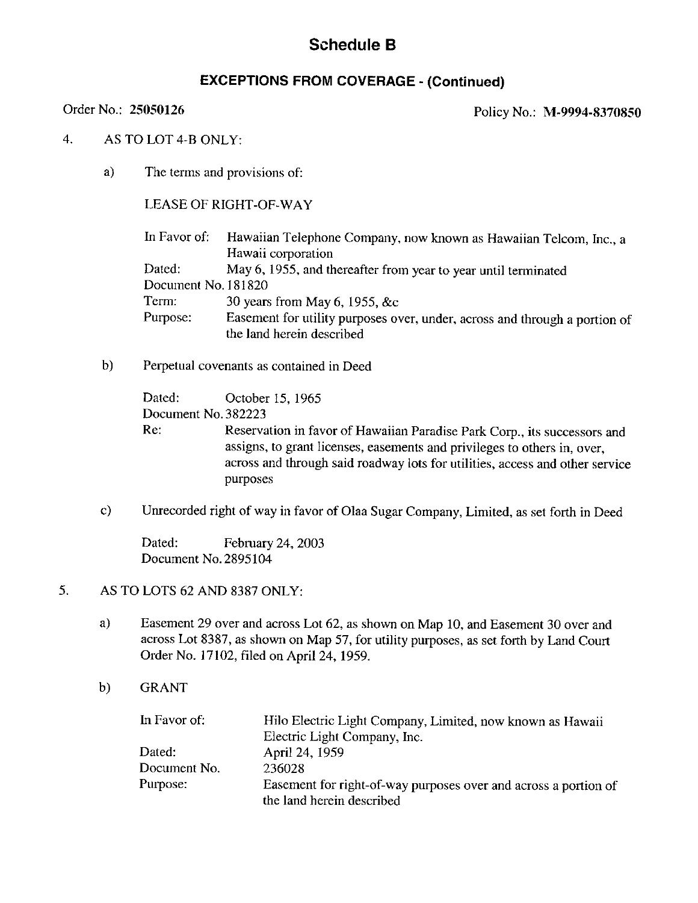## **EXCEPTIONS FROM COVERAGE - (Continued)**

## Order No.: 25050126

Policy No.: M-9994-8370850

- $\overline{4}$ . AS TO LOT 4-B ONLY:
	- a) The terms and provisions of:

LEASE OF RIGHT-OF-WAY

Hawaiian Telephone Company, now known as Hawaiian Telcom, Inc., a In Favor of: Hawaii corporation Dated: May 6, 1955, and thereafter from year to year until terminated Document No. 181820 Term: 30 years from May 6, 1955, &c Purpose: Easement for utility purposes over, under, across and through a portion of the land herein described

 $b)$ Perpetual covenants as contained in Deed

> Dated: October 15, 1965 Document No. 382223 Reservation in favor of Hawaiian Paradise Park Corp., its successors and Re: assigns, to grant licenses, easements and privileges to others in, over, across and through said roadway lots for utilities, access and other service purposes

Unrecorded right of way in favor of Olaa Sugar Company, Limited, as set forth in Deed  $c)$ 

Dated: February 24, 2003 Document No. 2895104

#### 5. AS TO LOTS 62 AND 8387 ONLY:

- a) Easement 29 over and across Lot 62, as shown on Map 10, and Easement 30 over and across Lot 8387, as shown on Map 57, for utility purposes, as set forth by Land Court Order No. 17102, filed on April 24, 1959.
- $b)$ **GRANT**

| In Favor of: | Hilo Electric Light Company, Limited, now known as Hawaii                                    |
|--------------|----------------------------------------------------------------------------------------------|
|              | Electric Light Company, Inc.                                                                 |
| Dated:       | April 24, 1959                                                                               |
| Document No. | 236028                                                                                       |
| Purpose:     | Easement for right-of-way purposes over and across a portion of<br>the land herein described |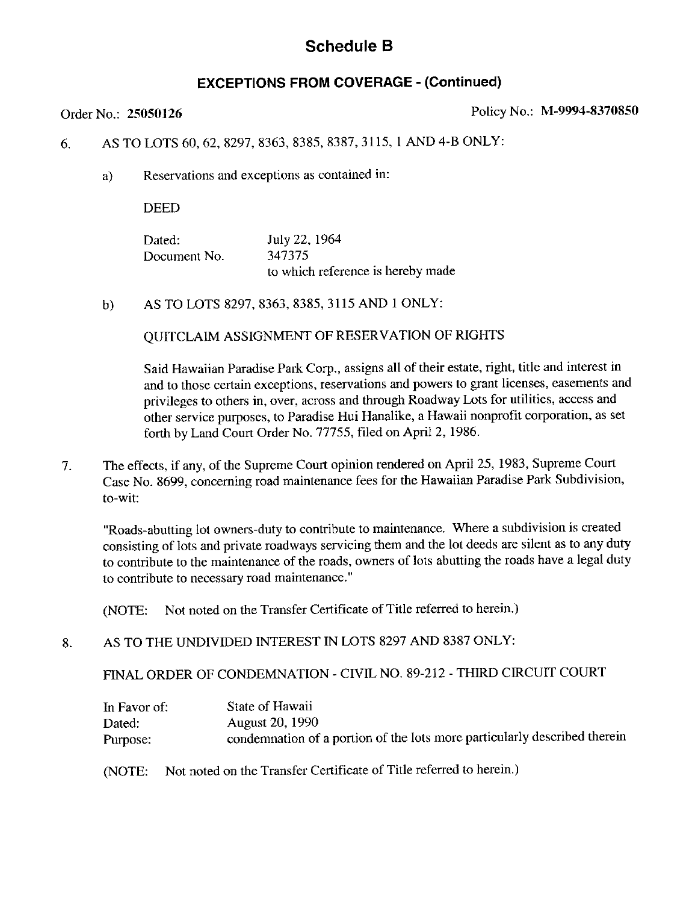## **EXCEPTIONS FROM COVERAGE - (Continued)**

## Order No.: 25050126

Policy No.: M-9994-8370850

AS TO LOTS 60, 62, 8297, 8363, 8385, 8387, 3115, 1 AND 4-B ONLY: 6.

 $a)$ Reservations and exceptions as contained in:

**DEED** 

Dated: July 22, 1964 347375 Document No. to which reference is hereby made

AS TO LOTS 8297, 8363, 8385, 3115 AND 1 ONLY:  $b)$ 

OUITCLAIM ASSIGNMENT OF RESERVATION OF RIGHTS

Said Hawaiian Paradise Park Corp., assigns all of their estate, right, title and interest in and to those certain exceptions, reservations and powers to grant licenses, easements and privileges to others in, over, across and through Roadway Lots for utilities, access and other service purposes, to Paradise Hui Hanalike, a Hawaii nonprofit corporation, as set forth by Land Court Order No. 77755, filed on April 2, 1986.

The effects, if any, of the Supreme Court opinion rendered on April 25, 1983, Supreme Court 7. Case No. 8699, concerning road maintenance fees for the Hawaiian Paradise Park Subdivision, to-wit:

"Roads-abutting lot owners-duty to contribute to maintenance. Where a subdivision is created consisting of lots and private roadways servicing them and the lot deeds are silent as to any duty to contribute to the maintenance of the roads, owners of lots abutting the roads have a legal duty to contribute to necessary road maintenance."

Not noted on the Transfer Certificate of Title referred to herein.) (NOTE:

AS TO THE UNDIVIDED INTEREST IN LOTS 8297 AND 8387 ONLY: 8.

FINAL ORDER OF CONDEMNATION - CIVIL NO. 89-212 - THIRD CIRCUIT COURT

| In Favor of: | State of Hawaii                                                           |
|--------------|---------------------------------------------------------------------------|
| Dated:       | <b>August 20, 1990</b>                                                    |
| Purpose:     | condemnation of a portion of the lots more particularly described therein |

Not noted on the Transfer Certificate of Title referred to herein.) (NOTE: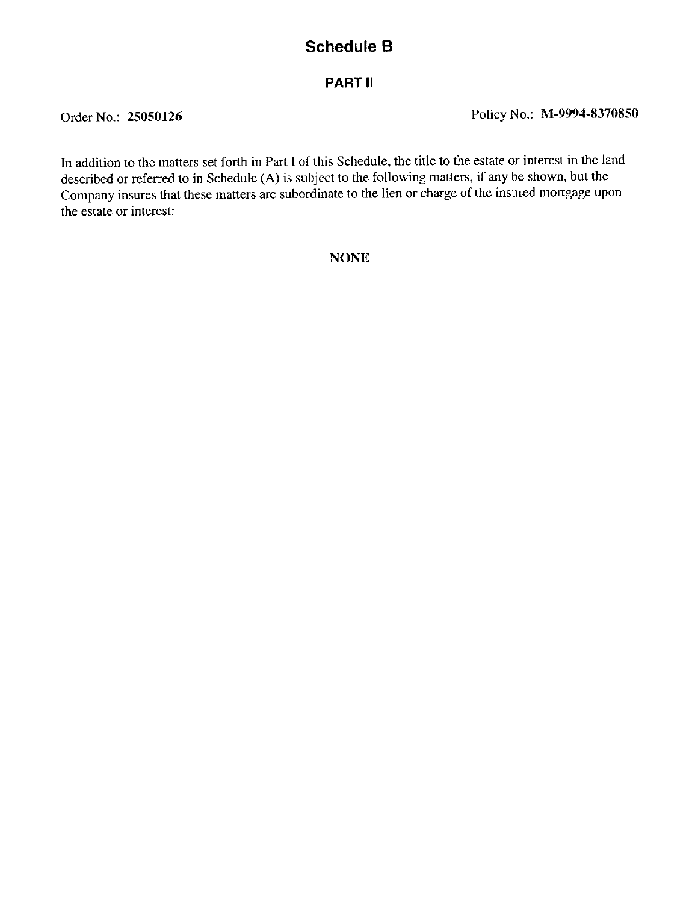## PART II

Order No.: 25050126

Policy No.: M-9994-8370850

In addition to the matters set forth in Part I of this Schedule, the title to the estate or interest in the land described or referred to in Schedule (A) is subject to the following matters, if any be shown, but the Company insures that these matters are subordinate to the lien or charge of the insured mortgage upon the estate or interest:

**NONE**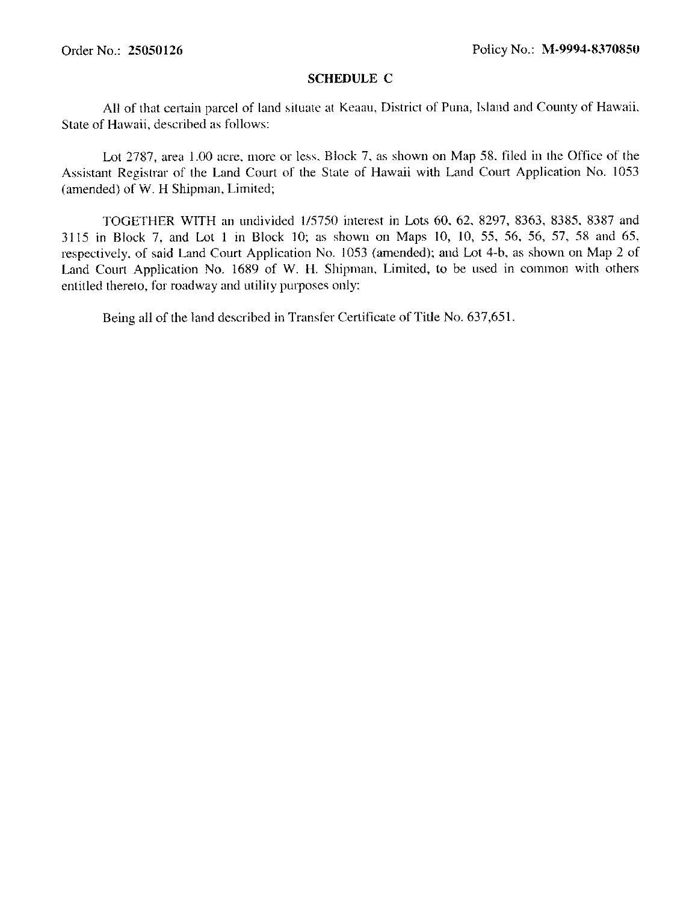## **SCHEDULE C**

All of that certain parcel of land situate at Keaau, District of Puna, Island and County of Hawaii, State of Hawaii, described as follows:

Lot 2787, area 1.00 acre, more or less, Block 7, as shown on Map 58, filed in the Office of the Assistant Registrar of the Land Court of the State of Hawaii with Land Court Application No. 1053 (amended) of W. H Shipman, Limited;

TOGETHER WITH an undivided 1/5750 interest in Lots 60, 62, 8297, 8363, 8385, 8387 and 3115 in Block 7, and Lot 1 in Block 10; as shown on Maps 10, 10, 55, 56, 56, 57, 58 and 65, respectively, of said Land Court Application No. 1053 (amended); and Lot 4-b, as shown on Map 2 of Land Court Application No. 1689 of W. H. Shipman, Limited, to be used in common with others entitled thereto, for roadway and utility purposes only;

Being all of the land described in Transfer Certificate of Title No. 637,651.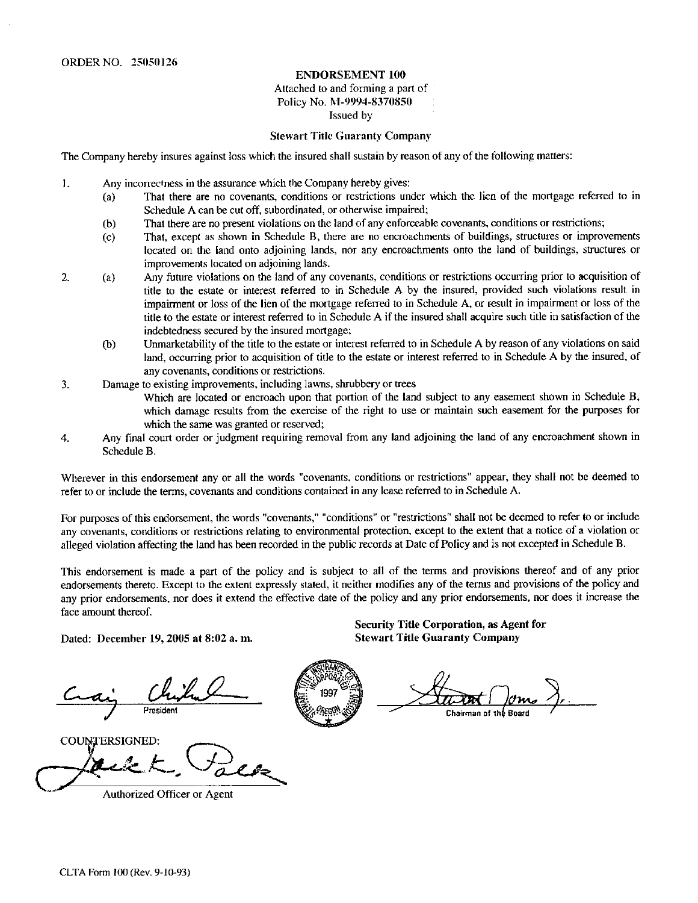## **ENDORSEMENT 100**

#### Attached to and forming a part of Policy No. M-9994-8370850

Issued by

## **Stewart Title Guaranty Company**

The Company hereby insures against loss which the insured shall sustain by reason of any of the following matters:

- $\mathbf{I}$ . Any incorrectness in the assurance which the Company hereby gives:
	- That there are no covenants, conditions or restrictions under which the lien of the mortgage referred to in  $(a)$ Schedule A can be cut off, subordinated, or otherwise impaired;
	- That there are no present violations on the land of any enforceable covenants, conditions or restrictions;  $(b)$
	- That, except as shown in Schedule B, there are no encroachments of buildings, structures or improvements  $(c)$ located on the land onto adjoining lands, nor any encroachments onto the land of buildings, structures or improvements located on adjoining lands.
- Any future violations on the land of any covenants, conditions or restrictions occurring prior to acquisition of  $\overline{2}$ .  $(a)$ title to the estate or interest referred to in Schedule A by the insured, provided such violations result in impairment or loss of the lien of the mortgage referred to in Schedule A, or result in impairment or loss of the title to the estate or interest referred to in Schedule A if the insured shall acquire such title in satisfaction of the indebtedness secured by the insured mortgage;
	- $(b)$ Unmarketability of the title to the estate or interest referred to in Schedule A by reason of any violations on said land, occurring prior to acquisition of title to the estate or interest referred to in Schedule A by the insured, of any covenants, conditions or restrictions.
- Damage to existing improvements, including lawns, shrubbery or trees 3.

Which are located or encroach upon that portion of the land subject to any easement shown in Schedule B, which damage results from the exercise of the right to use or maintain such easement for the purposes for which the same was granted or reserved;

Any final court order or judgment requiring removal from any land adjoining the land of any encroachment shown in 4. Schedule B.

Wherever in this endorsement any or all the words "covenants, conditions or restrictions" appear, they shall not be deemed to refer to or include the terms, covenants and conditions contained in any lease referred to in Schedule A.

For purposes of this endorsement, the words "covenants," "conditions" or "restrictions" shall not be deemed to refer to or include any covenants, conditions or restrictions relating to environmental protection, except to the extent that a notice of a violation or alleged violation affecting the land has been recorded in the public records at Date of Policy and is not excepted in Schedule B.

This endorsement is made a part of the policy and is subject to all of the terms and provisions thereof and of any prior endorsements thereto. Except to the extent expressly stated, it neither modifies any of the terms and provisions of the policy and any prior endorsements, nor does it extend the effective date of the policy and any prior endorsements, nor does it increase the face amount thereof.

Dated: December 19, 2005 at 8:02 a. m.

COUNTERSIGNED:

Authorized Officer or Agent

Security Title Corporation, as Agent for **Stewart Title Guaranty Company**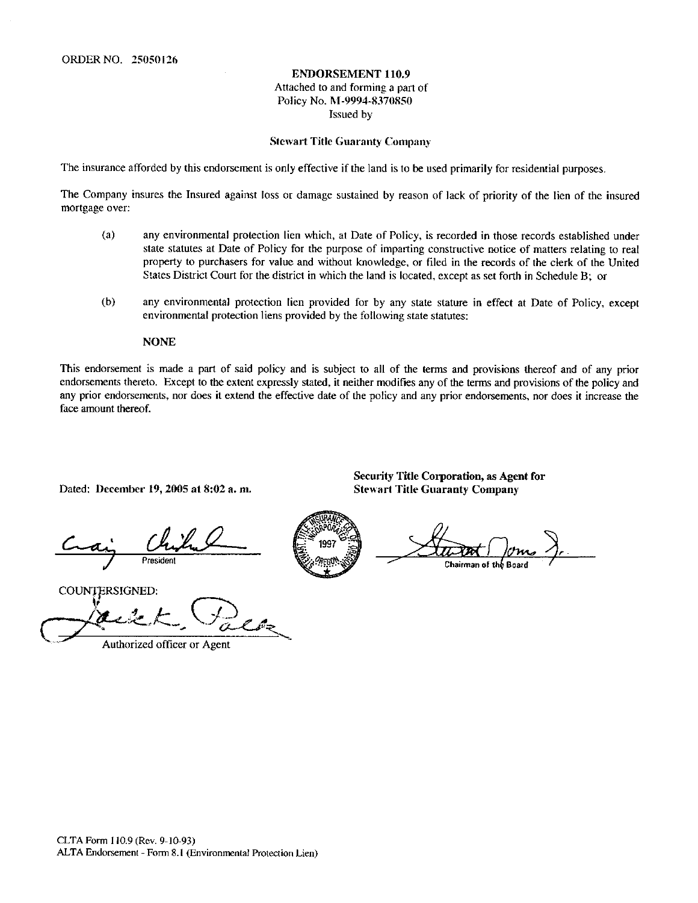## **ENDORSEMENT 110.9** Attached to and forming a part of Policy No. M-9994-8370850 Issued by

## **Stewart Title Guaranty Company**

The insurance afforded by this endorsement is only effective if the land is to be used primarily for residential purposes.

The Company insures the Insured against loss or damage sustained by reason of lack of priority of the lien of the insured mortgage over:

- $(a)$ any environmental protection lien which, at Date of Policy, is recorded in those records established under state statutes at Date of Policy for the purpose of imparting constructive notice of matters relating to real property to purchasers for value and without knowledge, or filed in the records of the clerk of the United States District Court for the district in which the land is located, except as set forth in Schedule B; or
- $(b)$ any environmental protection lien provided for by any state stature in effect at Date of Policy, except environmental protection liens provided by the following state statutes:

**NONE** 

This endorsement is made a part of said policy and is subject to all of the terms and provisions thereof and of any prior endorsements thereto. Except to the extent expressly stated, it neither modifies any of the terms and provisions of the policy and any prior endorsements, nor does it extend the effective date of the policy and any prior endorsements, nor does it increase the face amount thereof.

Dated: December 19, 2005 at 8:02 a.m.

President

COUNTERSIGNED:

Authorized officer or Agent

**Stewart Title Guaranty Company** 

Security Title Corporation, as Agent for

Chairman of thi Boar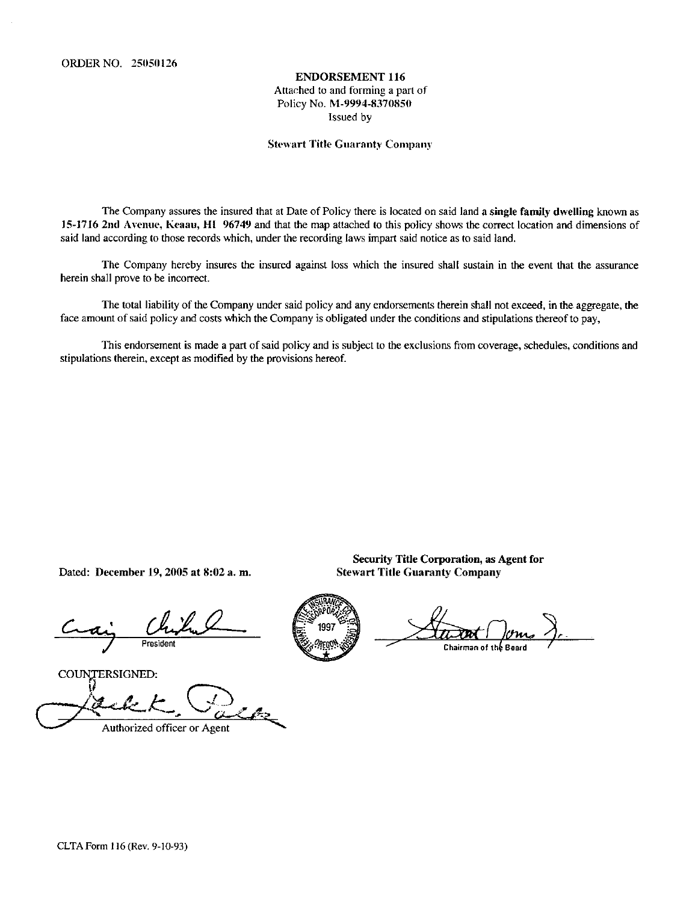## **ENDORSEMENT 116** Attached to and forming a part of Policy No. M-9994-8370850 Issued by

#### **Stewart Title Guaranty Company**

The Company assures the insured that at Date of Policy there is located on said land a single family dwelling known as 15-1716 2nd Avenue, Keaau, H1 96749 and that the map attached to this policy shows the correct location and dimensions of said land according to those records which, under the recording laws impart said notice as to said land.

The Company hereby insures the insured against loss which the insured shall sustain in the event that the assurance herein shall prove to be incorrect.

The total liability of the Company under said policy and any endorsements therein shall not exceed, in the aggregate, the face amount of said policy and costs which the Company is obligated under the conditions and stipulations thereof to pay,

This endorsement is made a part of said policy and is subject to the exclusions from coverage, schedules, conditions and stipulations therein, except as modified by the provisions hereof.

Dated: December 19, 2005 at 8:02 a.m.

President

COUNTERSIGNED: Authorized officer or Agent

Security Title Corporation, as Agent for **Stewart Title Guaranty Company** 

Chairman of thế Boari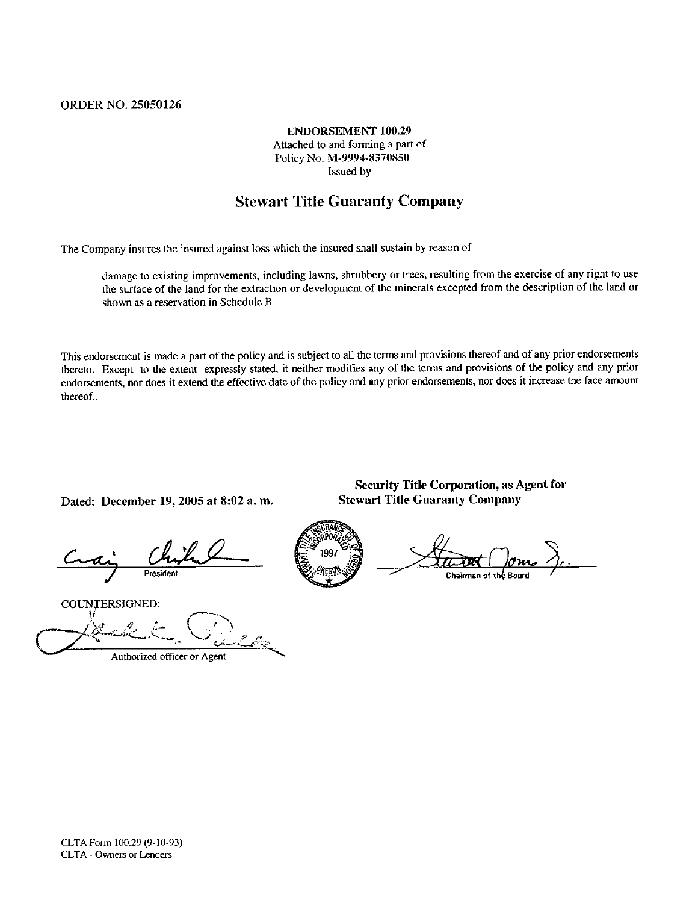**ENDORSEMENT 100.29** Attached to and forming a part of Policy No. M-9994-8370850 Issued by

## **Stewart Title Guaranty Company**

The Company insures the insured against loss which the insured shall sustain by reason of

damage to existing improvements, including lawns, shrubbery or trees, resulting from the exercise of any right to use the surface of the land for the extraction or development of the minerals excepted from the description of the land or shown as a reservation in Schedule B.

This endorsement is made a part of the policy and is subject to all the terms and provisions thereof and of any prior endorsements thereto. Except to the extent expressly stated, it neither modifies any of the terms and provisions of the policy and any prior endorsements, nor does it extend the effective date of the policy and any prior endorsements, nor does it increase the face amount thereof..

Dated: December 19, 2005 at 8:02 a.m.

President

COUNTERSIGNED: Authorized officer or Agent

**Security Title Corporation, as Agent for Stewart Title Guaranty Company** 

Chairman of the